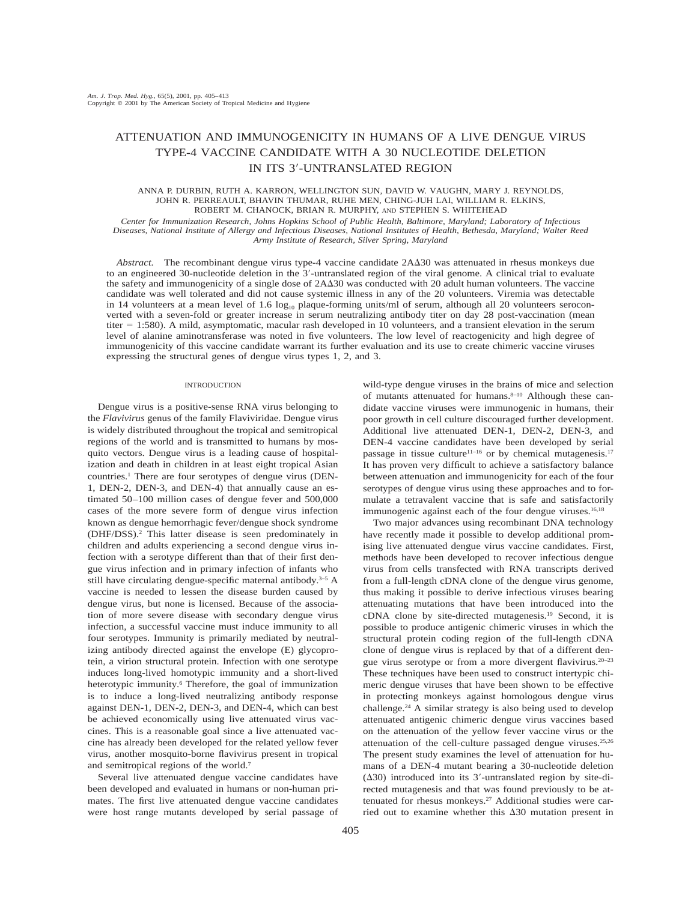# ATTENUATION AND IMMUNOGENICITY IN HUMANS OF A LIVE DENGUE VIRUS TYPE-4 VACCINE CANDIDATE WITH A 30 NUCLEOTIDE DELETION IN ITS 3-UNTRANSLATED REGION

#### ANNA P. DURBIN, RUTH A. KARRON, WELLINGTON SUN, DAVID W. VAUGHN, MARY J. REYNOLDS, JOHN R. PERREAULT, BHAVIN THUMAR, RUHE MEN, CHING-JUH LAI, WILLIAM R. ELKINS, ROBERT M. CHANOCK, BRIAN R. MURPHY, AND STEPHEN S. WHITEHEAD

*Center for Immunization Research, Johns Hopkins School of Public Health, Baltimore, Maryland; Laboratory of Infectious Diseases, National Institute of Allergy and Infectious Diseases, National Institutes of Health, Bethesda, Maryland; Walter Reed Army Institute of Research, Silver Spring, Maryland*

Abstract. The recombinant dengue virus type-4 vaccine candidate  $2A\Delta 30$  was attenuated in rhesus monkeys due to an engineered 30-nucleotide deletion in the 3'-untranslated region of the viral genome. A clinical trial to evaluate the safety and immunogenicity of a single dose of  $2A\Delta30$  was conducted with 20 adult human volunteers. The vaccine candidate was well tolerated and did not cause systemic illness in any of the 20 volunteers. Viremia was detectable in 14 volunteers at a mean level of 1.6  $log_{10}$  plaque-forming units/ml of serum, although all 20 volunteers seroconverted with a seven-fold or greater increase in serum neutralizing antibody titer on day 28 post-vaccination (mean titer 1:580). A mild, asymptomatic, macular rash developed in 10 volunteers, and a transient elevation in the serum level of alanine aminotransferase was noted in five volunteers. The low level of reactogenicity and high degree of immunogenicity of this vaccine candidate warrant its further evaluation and its use to create chimeric vaccine viruses expressing the structural genes of dengue virus types 1, 2, and 3.

## INTRODUCTION

Dengue virus is a positive-sense RNA virus belonging to the *Flavivirus* genus of the family Flaviviridae. Dengue virus is widely distributed throughout the tropical and semitropical regions of the world and is transmitted to humans by mosquito vectors. Dengue virus is a leading cause of hospitalization and death in children in at least eight tropical Asian countries.1 There are four serotypes of dengue virus (DEN-1, DEN-2, DEN-3, and DEN-4) that annually cause an estimated 50–100 million cases of dengue fever and 500,000 cases of the more severe form of dengue virus infection known as dengue hemorrhagic fever/dengue shock syndrome (DHF/DSS).2 This latter disease is seen predominately in children and adults experiencing a second dengue virus infection with a serotype different than that of their first dengue virus infection and in primary infection of infants who still have circulating dengue-specific maternal antibody. $3-5$  A vaccine is needed to lessen the disease burden caused by dengue virus, but none is licensed. Because of the association of more severe disease with secondary dengue virus infection, a successful vaccine must induce immunity to all four serotypes. Immunity is primarily mediated by neutralizing antibody directed against the envelope (E) glycoprotein, a virion structural protein. Infection with one serotype induces long-lived homotypic immunity and a short-lived heterotypic immunity.<sup>6</sup> Therefore, the goal of immunization is to induce a long-lived neutralizing antibody response against DEN-1, DEN-2, DEN-3, and DEN-4, which can best be achieved economically using live attenuated virus vaccines. This is a reasonable goal since a live attenuated vaccine has already been developed for the related yellow fever virus, another mosquito-borne flavivirus present in tropical and semitropical regions of the world.7

Several live attenuated dengue vaccine candidates have been developed and evaluated in humans or non-human primates. The first live attenuated dengue vaccine candidates were host range mutants developed by serial passage of wild-type dengue viruses in the brains of mice and selection of mutants attenuated for humans.<sup>8-10</sup> Although these candidate vaccine viruses were immunogenic in humans, their poor growth in cell culture discouraged further development. Additional live attenuated DEN-1, DEN-2, DEN-3, and DEN-4 vaccine candidates have been developed by serial passage in tissue culture<sup>11–16</sup> or by chemical mutagenesis.<sup>17</sup> It has proven very difficult to achieve a satisfactory balance between attenuation and immunogenicity for each of the four serotypes of dengue virus using these approaches and to formulate a tetravalent vaccine that is safe and satisfactorily immunogenic against each of the four dengue viruses.<sup>16,18</sup>

Two major advances using recombinant DNA technology have recently made it possible to develop additional promising live attenuated dengue virus vaccine candidates. First, methods have been developed to recover infectious dengue virus from cells transfected with RNA transcripts derived from a full-length cDNA clone of the dengue virus genome, thus making it possible to derive infectious viruses bearing attenuating mutations that have been introduced into the cDNA clone by site-directed mutagenesis.19 Second, it is possible to produce antigenic chimeric viruses in which the structural protein coding region of the full-length cDNA clone of dengue virus is replaced by that of a different dengue virus serotype or from a more divergent flavivirus.20–23 These techniques have been used to construct intertypic chimeric dengue viruses that have been shown to be effective in protecting monkeys against homologous dengue virus challenge.24 A similar strategy is also being used to develop attenuated antigenic chimeric dengue virus vaccines based on the attenuation of the yellow fever vaccine virus or the attenuation of the cell-culture passaged dengue viruses.25,26 The present study examines the level of attenuation for humans of a DEN-4 mutant bearing a 30-nucleotide deletion  $(\Delta 30)$  introduced into its 3'-untranslated region by site-directed mutagenesis and that was found previously to be attenuated for rhesus monkeys.<sup>27</sup> Additional studies were carried out to examine whether this  $\Delta 30$  mutation present in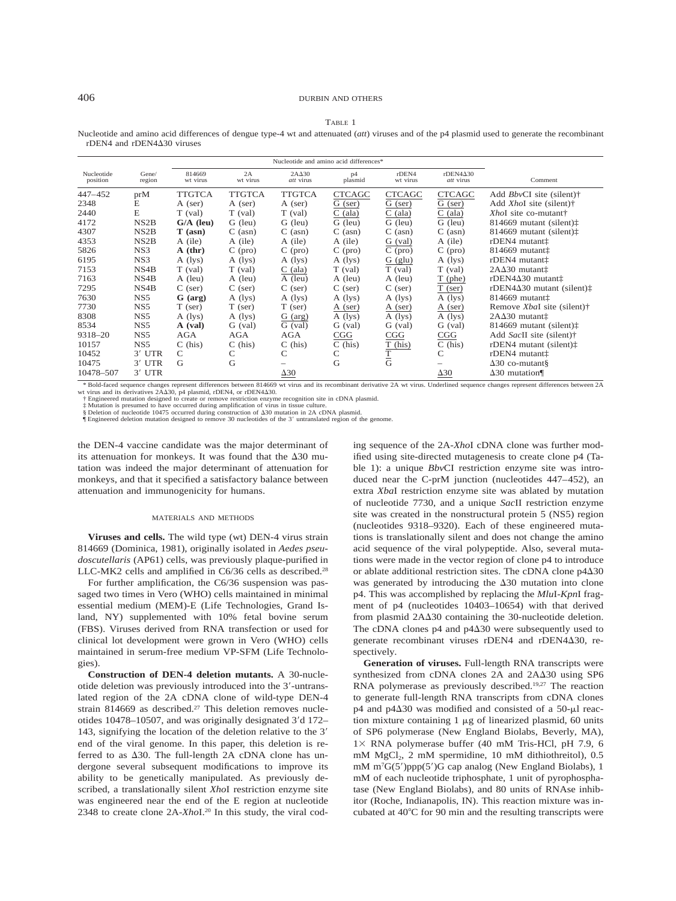# 406 DURBIN AND OTHERS

### TABLE 1

Nucleotide and amino acid differences of dengue type-4 wt and attenuated (*att*) viruses and of the p4 plasmid used to generate the recombinant rDEN4 and rDEN4 $\Delta$ 30 viruses

|                        |                   | Nucleotide and amino acid differences* |                        |                               |                                                                                                                            |                          |                                          |                                              |
|------------------------|-------------------|----------------------------------------|------------------------|-------------------------------|----------------------------------------------------------------------------------------------------------------------------|--------------------------|------------------------------------------|----------------------------------------------|
| Nucleotide<br>position | Gene/<br>region   | 814669<br>wt virus                     | 2A<br>wt virus         | $2A\Delta 30$<br>att virus    | p4<br>plasmid                                                                                                              | rDEN4<br>wt virus        | $r$ DEN4 $\Delta$ 30<br><i>att</i> virus | Comment                                      |
| 447-452                | prM               | TTGTCA                                 | TTGTCA                 | <b>TTGTCA</b>                 | <b>CTCAGC</b>                                                                                                              | <b>CTCAGC</b>            | <b>CTCAGC</b>                            | Add BbvCI site (silent)†                     |
| 2348                   | E                 | A (ser)                                | A (ser)                | A (ser)                       | G (ser)                                                                                                                    | G (ser)                  | G (ser)                                  | Add XhoI site (silent)†                      |
| 2440                   | E                 | $T$ (val)                              | $T$ (val)              | $T$ (val)                     | $C$ (ala)                                                                                                                  | (ala)<br>С               | $C$ (ala)                                | XhoI site co-mutant†                         |
| 4172                   | NS <sub>2</sub> B | $G/A$ (leu)                            | G (leu)                | G (leu)                       | G (leu)                                                                                                                    | G (leu)                  | G (leu)                                  | 814669 mutant (silent) $\ddagger$            |
| 4307                   | NS <sub>2</sub> B | $T$ (asn)                              | $C$ (asn)              | $C$ (asn)                     | $C$ (asn)                                                                                                                  | $C$ (asn)                | $C$ (asn)                                | 814669 mutant (silent) $\ddagger$            |
| 4353                   | NS <sub>2</sub> B | A (ile)                                | A (ile)                | A (ile)                       | A (ile)                                                                                                                    | $G \text{ (val)}$        | A (ile)                                  | rDEN4 mutant <sup>†</sup>                    |
| 5826                   | NS3               | $A$ (thr)                              | $C$ (pro)              | $C$ (pro)                     | $C$ (pro)                                                                                                                  | $C$ (pro)                | $C$ (pro)                                | $814669$ mutant $\ddagger$                   |
| 6195                   | NS3               | $A$ (lys)                              | $A$ (lys)              | $A$ (lys)                     | $A$ (lys)                                                                                                                  | $G$ (glu)                | A (lys)                                  | rDEN4 mutant <sup>†</sup>                    |
| 7153                   | NS4B              | $T$ (val)                              | $T$ (val)              | $C$ (ala)                     | $T$ (val)                                                                                                                  | $T$ (val)                | $T$ (val)                                | 2AΔ30 mutant <sup>+</sup>                    |
| 7163                   | NS4B              | A (leu)                                | A (leu)                | A (leu)                       | A (leu)                                                                                                                    | A (leu)                  | T (phe)                                  | $r$ DEN4 $\Delta$ 30 mutant $\ddagger$       |
| 7295                   | NS4B              | $C$ (ser)                              | $C$ (ser)              | $C$ (ser)                     | $C$ (ser)                                                                                                                  | $C$ (ser)                | $T$ (ser)                                | rDEN4 $\Delta$ 30 mutant (silent) $\ddagger$ |
| 7630                   | NS5               | $G$ (arg)                              | $A$ (lys)              | $A$ (lys)                     | $A$ (lys)                                                                                                                  | $A$ (lys)                | $A$ (lys)                                | 814669 mutant <sup>+</sup>                   |
| 7730                   | NS5               | $T$ (ser)                              | $T$ (ser)              | $T$ (ser)                     | A (ser)                                                                                                                    | A (ser)                  | A (ser)                                  | Remove XbaI site (silent)†                   |
| 8308                   | NS5               | $A$ (lys)                              | A (lys)                | G (arg)                       | $A$ (lys)                                                                                                                  | $\overline{A}$ (lys)     | $A$ (lys)                                | 2AΔ30 mutant <sup>+</sup>                    |
| 8534                   | NS <sub>5</sub>   | $A$ (val)                              | G (val)                | $G \text{ (val)}$             | G (val)                                                                                                                    | G (val)                  | G (val)                                  | 814669 mutant (silent) $\ddagger$            |
| 9318-20                | NS <sub>5</sub>   | AGA                                    | AGA                    | AGA                           | CGG                                                                                                                        | CGG                      | CGG                                      | Add SacII site (silent)†                     |
| 10157                  | NS5               | $C$ (his)                              | $C$ (his)              | $C$ (his)                     | $C$ (his)                                                                                                                  | $T$ (his)                | $C$ (his)                                | rDEN4 mutant (silent) $\ddagger$             |
| 10452                  | $3'$ UTR          | C                                      | С                      | C                             | C                                                                                                                          | $\frac{\overline{T}}{G}$ | C                                        | rDEN4 mutant <sup>†</sup>                    |
| 10475                  | $3'$ UTR          | G                                      | G                      |                               | G                                                                                                                          |                          |                                          | $\Delta$ 30 co-mutant§                       |
| 10478-507<br>4711011   | $3'$ UTR          | $-1200$                                | $\mathbf{1}$<br>011770 | $\Delta 30$<br><b>British</b> | and the state and a state of the state of the state of the state of the state of the state of the state of the<br>$\cdots$ |                          | $\Delta 30$                              | $\Delta$ 30 mutation¶<br>$-1200$             |

Hold-faced sequence changes represent differences between 2A wt virus. Underlined sequence changes represent differences between 2A wt virus and its derivatives 2AA30, p4 plasmid, rDEN4, or rDEN4A30.<br>† Engineered mutation designed to create or remove restriction enzyme recognition site in cDNA plasmid.<br>‡ Mutation is presumed to have occurred during amp

§ Deletion of nucleotide 10475 occurred during construction of  $\Delta 30$  mutation in 2A cDNA plasmid.

¶ Engineered deletion mutation designed to remove 30 nucleotides of the 3 untranslated region of the genome.

the DEN-4 vaccine candidate was the major determinant of its attenuation for monkeys. It was found that the  $\Delta 30$  mutation was indeed the major determinant of attenuation for monkeys, and that it specified a satisfactory balance between attenuation and immunogenicity for humans.

#### MATERIALS AND METHODS

**Viruses and cells.** The wild type (wt) DEN-4 virus strain 814669 (Dominica, 1981), originally isolated in *Aedes pseudoscutellaris* (AP61) cells, was previously plaque-purified in LLC-MK2 cells and amplified in C6/36 cells as described.28

For further amplification, the C6/36 suspension was passaged two times in Vero (WHO) cells maintained in minimal essential medium (MEM)-E (Life Technologies, Grand Island, NY) supplemented with 10% fetal bovine serum (FBS). Viruses derived from RNA transfection or used for clinical lot development were grown in Vero (WHO) cells maintained in serum-free medium VP-SFM (Life Technologies).

**Construction of DEN-4 deletion mutants.** A 30-nucleotide deletion was previously introduced into the 3'-untranslated region of the 2A cDNA clone of wild-type DEN-4 strain 814669 as described.<sup>27</sup> This deletion removes nucleotides 10478–10507, and was originally designated 3'd 172– 143, signifying the location of the deletion relative to the 3 end of the viral genome. In this paper, this deletion is referred to as  $\Delta 30$ . The full-length 2A cDNA clone has undergone several subsequent modifications to improve its ability to be genetically manipulated. As previously described, a translationally silent *Xho*I restriction enzyme site was engineered near the end of the E region at nucleotide 2348 to create clone 2A-*Xho*I.20 In this study, the viral coding sequence of the 2A-*Xho*I cDNA clone was further modified using site-directed mutagenesis to create clone p4 (Table 1): a unique *Bbv*CI restriction enzyme site was introduced near the C-prM junction (nucleotides 447–452), an extra *Xba*I restriction enzyme site was ablated by mutation of nucleotide 7730, and a unique *Sac*II restriction enzyme site was created in the nonstructural protein 5 (NS5) region (nucleotides 9318–9320). Each of these engineered mutations is translationally silent and does not change the amino acid sequence of the viral polypeptide. Also, several mutations were made in the vector region of clone p4 to introduce or ablate additional restriction sites. The cDNA clone  $p4\Delta30$ was generated by introducing the  $\Delta 30$  mutation into clone p4. This was accomplished by replacing the *Mlu*I-*Kpn*I fragment of p4 (nucleotides 10403–10654) with that derived from plasmid 2A $\Delta$ 30 containing the 30-nucleotide deletion. The cDNA clones  $p4$  and  $p4\Delta 30$  were subsequently used to generate recombinant viruses rDEN4 and rDEN4 $\Delta$ 30, respectively.

**Generation of viruses.** Full-length RNA transcripts were synthesized from cDNA clones 2A and 2A $\Delta$ 30 using SP6 RNA polymerase as previously described.19,27 The reaction to generate full-length RNA transcripts from cDNA clones  $p4$  and  $p4\Delta 30$  was modified and consisted of a 50- $\mu$ l reaction mixture containing  $1 \mu$ g of linearized plasmid, 60 units of SP6 polymerase (New England Biolabs, Beverly, MA), 1× RNA polymerase buffer (40 mM Tris-HCl, pH 7.9, 6 mM MgCl<sub>2</sub>, 2 mM spermidine, 10 mM dithiothreitol), 0.5 mM  $m<sup>7</sup>G(5')ppp(5')G$  cap analog (New England Biolabs), 1 mM of each nucleotide triphosphate, 1 unit of pyrophosphatase (New England Biolabs), and 80 units of RNAse inhibitor (Roche, Indianapolis, IN). This reaction mixture was incubated at 40C for 90 min and the resulting transcripts were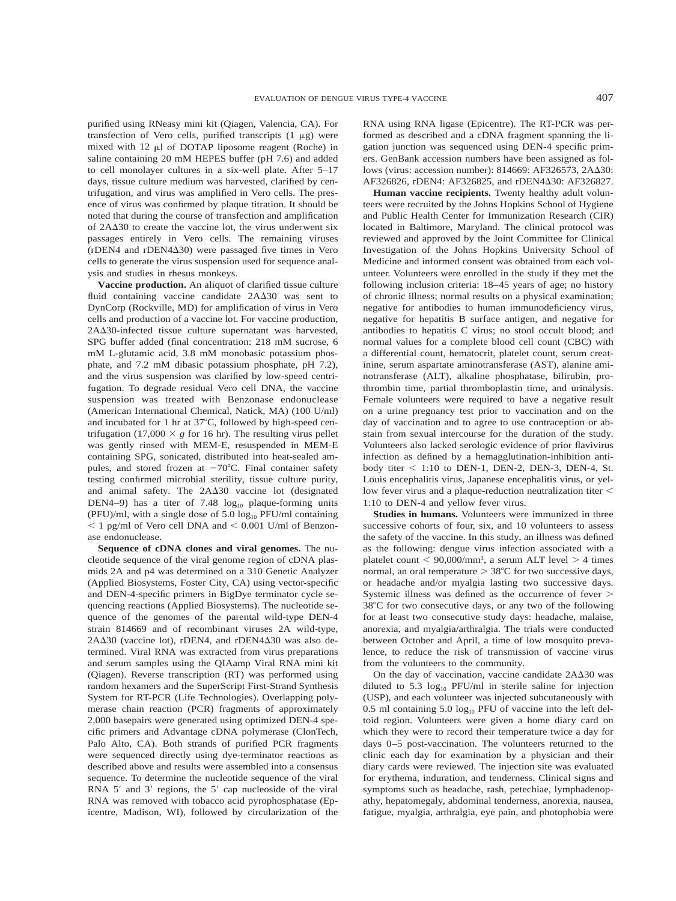purified using RNeasy mini kit (Qiagen, Valencia, CA). For transfection of Vero cells, purified transcripts  $(1 \mu g)$  were mixed with  $12 \mu l$  of DOTAP liposome reagent (Roche) in saline containing 20 mM HEPES buffer (pH 7.6) and added to cell monolayer cultures in a six-well plate. After 5–17 days, tissue culture medium was harvested, clarified by centrifugation, and virus was amplified in Vero cells. The presence of virus was confirmed by plaque titration. It should be noted that during the course of transfection and amplification of  $2A\Delta 30$  to create the vaccine lot, the virus underwent six passages entirely in Vero cells. The remaining viruses (rDEN4 and rDEN4-30) were passaged five times in Vero cells to generate the virus suspension used for sequence analysis and studies in rhesus monkeys.

**Vaccine production.** An aliquot of clarified tissue culture fluid containing vaccine candidate 2A $\Delta$ 30 was sent to DynCorp (Rockville, MD) for amplification of virus in Vero cells and production of a vaccine lot. For vaccine production, 2A $\Delta$ 30-infected tissue culture supernatant was harvested, SPG buffer added (final concentration: 218 mM sucrose, 6 mM L-glutamic acid, 3.8 mM monobasic potassium phosphate, and 7.2 mM dibasic potassium phosphate, pH 7.2), and the virus suspension was clarified by low-speed centrifugation. To degrade residual Vero cell DNA, the vaccine suspension was treated with Benzonase endonuclease (American International Chemical, Natick, MA) (100 U/ml) and incubated for 1 hr at  $37^{\circ}$ C, followed by high-speed centrifugation (17,000  $\times$  *g* for 16 hr). The resulting virus pellet was gently rinsed with MEM-E, resuspended in MEM-E containing SPG, sonicated, distributed into heat-sealed ampules, and stored frozen at  $-70^{\circ}$ C. Final container safety testing confirmed microbial sterility, tissue culture purity, and animal safety. The 2A $\Delta$ 30 vaccine lot (designated DEN4–9) has a titer of 7.48  $log_{10}$  plaque-forming units (PFU)/ml, with a single dose of 5.0  $log_{10}$  PFU/ml containing  $1$  pg/ml of Vero cell DNA and  $0.001$  U/ml of Benzonase endonuclease.

**Sequence of cDNA clones and viral genomes.** The nucleotide sequence of the viral genome region of cDNA plasmids 2A and p4 was determined on a 310 Genetic Analyzer (Applied Biosystems, Foster City, CA) using vector-specific and DEN-4-specific primers in BigDye terminator cycle sequencing reactions (Applied Biosystems). The nucleotide sequence of the genomes of the parental wild-type DEN-4 strain 814669 and of recombinant viruses 2A wild-type, 2A $\Delta$ 30 (vaccine lot), rDEN4, and rDEN4 $\Delta$ 30 was also determined. Viral RNA was extracted from virus preparations and serum samples using the QIAamp Viral RNA mini kit (Qiagen). Reverse transcription (RT) was performed using random hexamers and the SuperScript First-Strand Synthesis System for RT-PCR (Life Technologies). Overlapping polymerase chain reaction (PCR) fragments of approximately 2,000 basepairs were generated using optimized DEN-4 specific primers and Advantage cDNA polymerase (ClonTech, Palo Alto, CA). Both strands of purified PCR fragments were sequenced directly using dye-terminator reactions as described above and results were assembled into a consensus sequence. To determine the nucleotide sequence of the viral RNA  $5'$  and  $3'$  regions, the  $5'$  cap nucleoside of the viral RNA was removed with tobacco acid pyrophosphatase (Epicentre, Madison, WI), followed by circularization of the

RNA using RNA ligase (Epicentre). The RT-PCR was performed as described and a cDNA fragment spanning the ligation junction was sequenced using DEN-4 specific primers. GenBank accession numbers have been assigned as follows (virus: accession number): 814669: AF326573, 2AΔ30: AF326826, rDEN4: AF326825, and rDEN4 $\Delta$ 30: AF326827.

**Human vaccine recipients.** Twenty healthy adult volunteers were recruited by the Johns Hopkins School of Hygiene and Public Health Center for Immunization Research (CIR) located in Baltimore, Maryland. The clinical protocol was reviewed and approved by the Joint Committee for Clinical Investigation of the Johns Hopkins University School of Medicine and informed consent was obtained from each volunteer. Volunteers were enrolled in the study if they met the following inclusion criteria: 18–45 years of age; no history of chronic illness; normal results on a physical examination; negative for antibodies to human immunodeficiency virus, negative for hepatitis B surface antigen, and negative for antibodies to hepatitis C virus; no stool occult blood; and normal values for a complete blood cell count (CBC) with a differential count, hematocrit, platelet count, serum creatinine, serum aspartate aminotransferase (AST), alanine aminotransferase (ALT), alkaline phosphatase, bilirubin, prothrombin time, partial thromboplastin time, and urinalysis. Female volunteers were required to have a negative result on a urine pregnancy test prior to vaccination and on the day of vaccination and to agree to use contraception or abstain from sexual intercourse for the duration of the study. Volunteers also lacked serologic evidence of prior flavivirus infection as defined by a hemagglutination-inhibition antibody titer  $\leq$  1:10 to DEN-1, DEN-2, DEN-3, DEN-4, St. Louis encephalitis virus, Japanese encephalitis virus, or yellow fever virus and a plaque-reduction neutralization titer < 1:10 to DEN-4 and yellow fever virus.

**Studies in humans.** Volunteers were immunized in three successive cohorts of four, six, and 10 volunteers to assess the safety of the vaccine. In this study, an illness was defined as the following: dengue virus infection associated with a platelet count  $< 90,000/\text{mm}^3$ , a serum ALT level  $> 4$  times normal, an oral temperature  $>38^{\circ}\mathrm{C}$  for two successive days, or headache and/or myalgia lasting two successive days. Systemic illness was defined as the occurrence of fever 38C for two consecutive days, or any two of the following for at least two consecutive study days: headache, malaise, anorexia, and myalgia/arthralgia. The trials were conducted between October and April, a time of low mosquito prevalence, to reduce the risk of transmission of vaccine virus from the volunteers to the community.

On the day of vaccination, vaccine candidate  $2A\Delta 30$  was diluted to 5.3  $log_{10}$  PFU/ml in sterile saline for injection (USP), and each volunteer was injected subcutaneously with 0.5 ml containing 5.0  $log_{10}$  PFU of vaccine into the left deltoid region. Volunteers were given a home diary card on which they were to record their temperature twice a day for days 0–5 post-vaccination. The volunteers returned to the clinic each day for examination by a physician and their diary cards were reviewed. The injection site was evaluated for erythema, induration, and tenderness. Clinical signs and symptoms such as headache, rash, petechiae, lymphadenopathy, hepatomegaly, abdominal tenderness, anorexia, nausea, fatigue, myalgia, arthralgia, eye pain, and photophobia were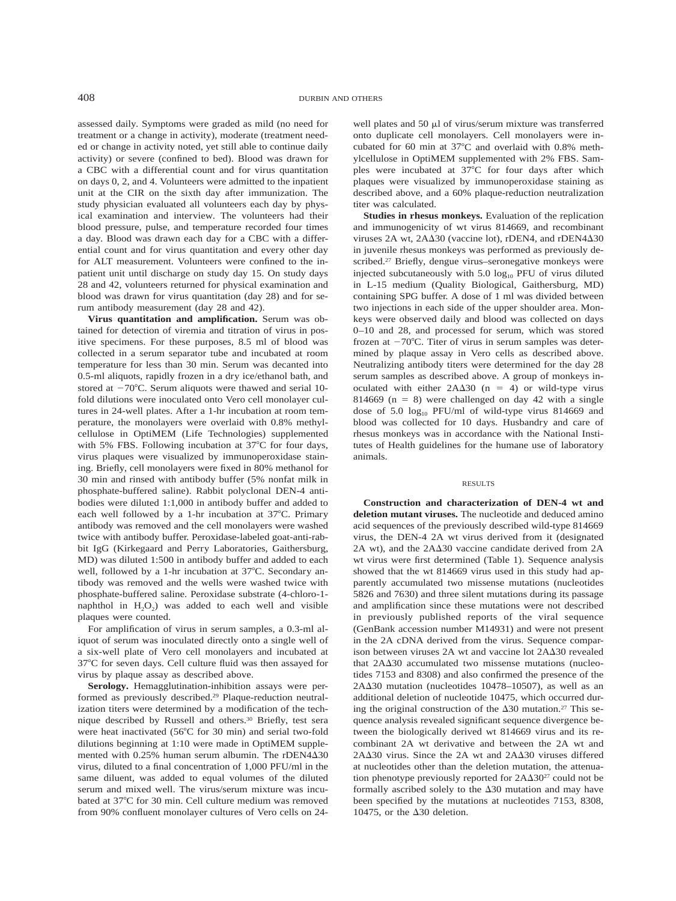assessed daily. Symptoms were graded as mild (no need for treatment or a change in activity), moderate (treatment needed or change in activity noted, yet still able to continue daily activity) or severe (confined to bed). Blood was drawn for a CBC with a differential count and for virus quantitation on days 0, 2, and 4. Volunteers were admitted to the inpatient unit at the CIR on the sixth day after immunization. The study physician evaluated all volunteers each day by physical examination and interview. The volunteers had their blood pressure, pulse, and temperature recorded four times a day. Blood was drawn each day for a CBC with a differential count and for virus quantitation and every other day for ALT measurement. Volunteers were confined to the inpatient unit until discharge on study day 15. On study days 28 and 42, volunteers returned for physical examination and blood was drawn for virus quantitation (day 28) and for serum antibody measurement (day 28 and 42).

**Virus quantitation and amplification.** Serum was obtained for detection of viremia and titration of virus in positive specimens. For these purposes, 8.5 ml of blood was collected in a serum separator tube and incubated at room temperature for less than 30 min. Serum was decanted into 0.5-ml aliquots, rapidly frozen in a dry ice/ethanol bath, and stored at  $-70^{\circ}$ C. Serum aliquots were thawed and serial 10fold dilutions were inoculated onto Vero cell monolayer cultures in 24-well plates. After a 1-hr incubation at room temperature, the monolayers were overlaid with 0.8% methylcellulose in OptiMEM (Life Technologies) supplemented with 5% FBS. Following incubation at 37°C for four days, virus plaques were visualized by immunoperoxidase staining. Briefly, cell monolayers were fixed in 80% methanol for 30 min and rinsed with antibody buffer (5% nonfat milk in phosphate-buffered saline). Rabbit polyclonal DEN-4 antibodies were diluted 1:1,000 in antibody buffer and added to each well followed by a 1-hr incubation at 37°C. Primary antibody was removed and the cell monolayers were washed twice with antibody buffer. Peroxidase-labeled goat-anti-rabbit IgG (Kirkegaard and Perry Laboratories, Gaithersburg, MD) was diluted 1:500 in antibody buffer and added to each well, followed by a 1-hr incubation at 37°C. Secondary antibody was removed and the wells were washed twice with phosphate-buffered saline. Peroxidase substrate (4-chloro-1 naphthol in  $H_2O_2$ ) was added to each well and visible plaques were counted.

For amplification of virus in serum samples, a 0.3-ml aliquot of serum was inoculated directly onto a single well of a six-well plate of Vero cell monolayers and incubated at 37°C for seven days. Cell culture fluid was then assayed for virus by plaque assay as described above.

**Serology.** Hemagglutination-inhibition assays were performed as previously described.29 Plaque-reduction neutralization titers were determined by a modification of the technique described by Russell and others.<sup>30</sup> Briefly, test sera were heat inactivated (56°C for 30 min) and serial two-fold dilutions beginning at 1:10 were made in OptiMEM supplemented with  $0.25\%$  human serum albumin. The rDEN4 $\Delta$ 30 virus, diluted to a final concentration of 1,000 PFU/ml in the same diluent, was added to equal volumes of the diluted serum and mixed well. The virus/serum mixture was incubated at 37°C for 30 min. Cell culture medium was removed from 90% confluent monolayer cultures of Vero cells on 24-

well plates and 50  $\mu$ l of virus/serum mixture was transferred onto duplicate cell monolayers. Cell monolayers were incubated for 60 min at  $37^{\circ}$ C and overlaid with 0.8% methylcellulose in OptiMEM supplemented with 2% FBS. Samples were incubated at  $37^{\circ}$ C for four days after which plaques were visualized by immunoperoxidase staining as described above, and a 60% plaque-reduction neutralization titer was calculated.

**Studies in rhesus monkeys.** Evaluation of the replication and immunogenicity of wt virus 814669, and recombinant viruses 2A wt, 2A $\Delta$ 30 (vaccine lot), rDEN4, and rDEN4 $\Delta$ 30 in juvenile rhesus monkeys was performed as previously described.27 Briefly, dengue virus–seronegative monkeys were injected subcutaneously with  $5.0 \log_{10}$  PFU of virus diluted in L-15 medium (Quality Biological, Gaithersburg, MD) containing SPG buffer. A dose of 1 ml was divided between two injections in each side of the upper shoulder area. Monkeys were observed daily and blood was collected on days 0–10 and 28, and processed for serum, which was stored frozen at  $-70^{\circ}$ C. Titer of virus in serum samples was determined by plaque assay in Vero cells as described above. Neutralizing antibody titers were determined for the day 28 serum samples as described above. A group of monkeys inoculated with either  $2A\Delta 30$  (n = 4) or wild-type virus 814669 ( $n = 8$ ) were challenged on day 42 with a single dose of 5.0  $log_{10}$  PFU/ml of wild-type virus 814669 and blood was collected for 10 days. Husbandry and care of rhesus monkeys was in accordance with the National Institutes of Health guidelines for the humane use of laboratory animals.

#### RESULTS

**Construction and characterization of DEN-4 wt and deletion mutant viruses.** The nucleotide and deduced amino acid sequences of the previously described wild-type 814669 virus, the DEN-4 2A wt virus derived from it (designated 2A wt), and the 2A $\Delta$ 30 vaccine candidate derived from 2A wt virus were first determined (Table 1). Sequence analysis showed that the wt 814669 virus used in this study had apparently accumulated two missense mutations (nucleotides 5826 and 7630) and three silent mutations during its passage and amplification since these mutations were not described in previously published reports of the viral sequence (GenBank accession number M14931) and were not present in the 2A cDNA derived from the virus. Sequence comparison between viruses 2A wt and vaccine lot 2A $\Delta$ 30 revealed that  $2A\Delta 30$  accumulated two missense mutations (nucleotides 7153 and 8308) and also confirmed the presence of the  $2A\Delta 30$  mutation (nucleotides 10478-10507), as well as an additional deletion of nucleotide 10475, which occurred during the original construction of the  $\Delta 30$  mutation.<sup>27</sup> This sequence analysis revealed significant sequence divergence between the biologically derived wt 814669 virus and its recombinant 2A wt derivative and between the 2A wt and  $2A\Delta 30$  virus. Since the  $2A$  wt and  $2A\Delta 30$  viruses differed at nucleotides other than the deletion mutation, the attenuation phenotype previously reported for  $2A\Delta 30^{27}$  could not be formally ascribed solely to the  $\Delta 30$  mutation and may have been specified by the mutations at nucleotides 7153, 8308, 10475, or the  $\Delta 30$  deletion.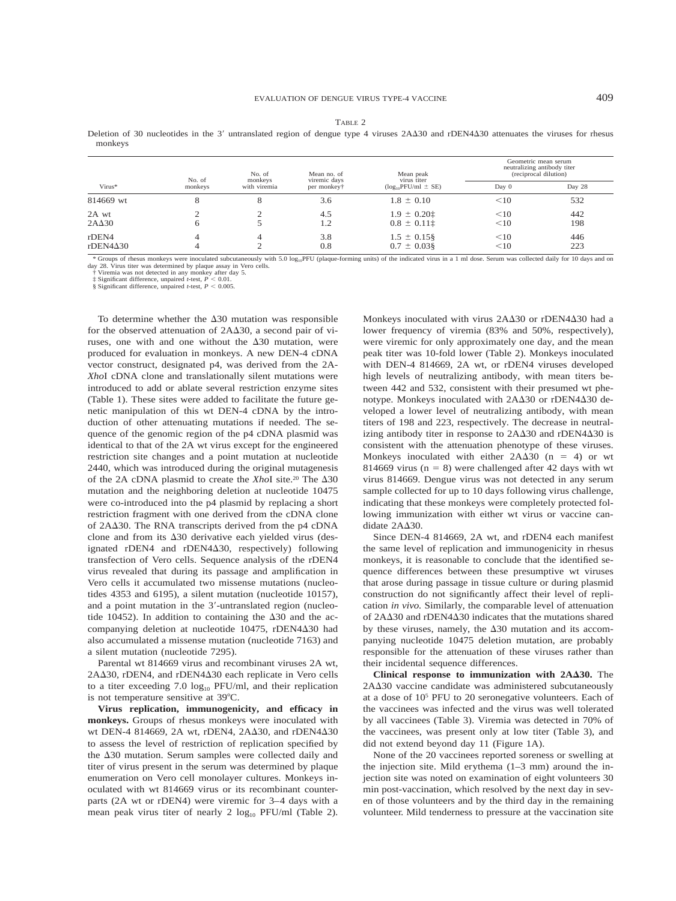|--|--|

Deletion of 30 nucleotides in the 3' untranslated region of dengue type 4 viruses 2A $\Delta$ 30 and rDEN4 $\Delta$ 30 attenuates the viruses for rhesus monkeys

| Virus*                           | No. of<br>monkeys | No. of<br>monkeys<br>with viremia | Mean no. of<br>viremic days<br>per monkey† | Mean peak<br>virus titer<br>$(log_{10}PFU/ml \pm SE)$ | Geometric mean serum<br>neutralizing antibody titer<br>(reciprocal dilution) |            |
|----------------------------------|-------------------|-----------------------------------|--------------------------------------------|-------------------------------------------------------|------------------------------------------------------------------------------|------------|
|                                  |                   |                                   |                                            |                                                       | Day 0                                                                        | Day 28     |
| 814669 wt                        | 8                 | Õ                                 | 3.6                                        | $1.8 \pm 0.10$                                        | <10                                                                          | 532        |
| 2A wt<br>$2A\Delta 30$           | 6                 | ◠<br>- 1                          | 4.5<br>1.2                                 | $1.9 \pm 0.201$<br>$0.8 \pm 0.11$                     | <10<br><10                                                                   | 442<br>198 |
| $r$ DEN4<br>$r$ DEN4 $\Delta$ 30 | 4                 | 4                                 | 3.8<br>0.8                                 | $1.5 \pm 0.15$ §<br>$0.7 \pm 0.03$ §                  | <10<br><10                                                                   | 446<br>223 |

\* Groups of rhesus monkeys were inoculated subcutaneously with 5.0 log<sub>10</sub>PFU (plaque-forming units) of the indicated virus in a 1 ml dose. Serum was collected daily for 10 days and on day 28. Virus titer was determined by plaque assay in Vero cells.<br>  $\uparrow$  Viremia was not detected in any monkey after day 5.<br>  $\downarrow$  Significant difference, unpaired *t*-test,  $P < 0.01$ .<br>
§ Significant difference, unpaired

To determine whether the  $\Delta 30$  mutation was responsible for the observed attenuation of 2A $\Delta$ 30, a second pair of viruses, one with and one without the  $\Delta 30$  mutation, were produced for evaluation in monkeys. A new DEN-4 cDNA vector construct, designated p4, was derived from the 2A-*Xho*I cDNA clone and translationally silent mutations were introduced to add or ablate several restriction enzyme sites (Table 1). These sites were added to facilitate the future genetic manipulation of this wt DEN-4 cDNA by the introduction of other attenuating mutations if needed. The sequence of the genomic region of the p4 cDNA plasmid was identical to that of the 2A wt virus except for the engineered restriction site changes and a point mutation at nucleotide 2440, which was introduced during the original mutagenesis of the 2A cDNA plasmid to create the *XhoI* site.<sup>20</sup> The  $\Delta$ 30 mutation and the neighboring deletion at nucleotide 10475 were co-introduced into the p4 plasmid by replacing a short restriction fragment with one derived from the cDNA clone of 2A $\Delta$ 30. The RNA transcripts derived from the p4 cDNA clone and from its  $\Delta 30$  derivative each yielded virus (designated rDEN4 and rDEN4 $\Delta$ 30, respectively) following transfection of Vero cells. Sequence analysis of the rDEN4 virus revealed that during its passage and amplification in Vero cells it accumulated two missense mutations (nucleotides 4353 and 6195), a silent mutation (nucleotide 10157), and a point mutation in the 3'-untranslated region (nucleotide 10452). In addition to containing the  $\Delta 30$  and the accompanying deletion at nucleotide 10475, rDEN4 $\Delta$ 30 had also accumulated a missense mutation (nucleotide 7163) and a silent mutation (nucleotide 7295).

Parental wt 814669 virus and recombinant viruses 2A wt, 2A $\Delta$ 30, rDEN4, and rDEN4 $\Delta$ 30 each replicate in Vero cells to a titer exceeding 7.0  $log_{10}$  PFU/ml, and their replication is not temperature sensitive at 39°C.

**Virus replication, immunogenicity, and efficacy in monkeys.** Groups of rhesus monkeys were inoculated with wt DEN-4 814669, 2A wt, rDEN4, 2A $\Delta$ 30, and rDEN4 $\Delta$ 30 to assess the level of restriction of replication specified by the  $\Delta$ 30 mutation. Serum samples were collected daily and titer of virus present in the serum was determined by plaque enumeration on Vero cell monolayer cultures. Monkeys inoculated with wt 814669 virus or its recombinant counterparts (2A wt or rDEN4) were viremic for 3–4 days with a mean peak virus titer of nearly 2  $log_{10}$  PFU/ml (Table 2).

Monkeys inoculated with virus 2A $\Delta$ 30 or rDEN4 $\Delta$ 30 had a lower frequency of viremia (83% and 50%, respectively), were viremic for only approximately one day, and the mean peak titer was 10-fold lower (Table 2). Monkeys inoculated with DEN-4 814669, 2A wt, or rDEN4 viruses developed high levels of neutralizing antibody, with mean titers between 442 and 532, consistent with their presumed wt phenotype. Monkeys inoculated with 2A $\Delta$ 30 or rDEN4 $\Delta$ 30 developed a lower level of neutralizing antibody, with mean titers of 198 and 223, respectively. The decrease in neutralizing antibody titer in response to  $2A\Delta 30$  and rDEN4 $\Delta 30$  is consistent with the attenuation phenotype of these viruses. Monkeys inoculated with either  $2A\Delta 30$  (n = 4) or wt 814669 virus ( $n = 8$ ) were challenged after 42 days with wt virus 814669. Dengue virus was not detected in any serum sample collected for up to 10 days following virus challenge, indicating that these monkeys were completely protected following immunization with either wt virus or vaccine candidate 2A $\Delta$ 30.

Since DEN-4 814669, 2A wt, and rDEN4 each manifest the same level of replication and immunogenicity in rhesus monkeys, it is reasonable to conclude that the identified sequence differences between these presumptive wt viruses that arose during passage in tissue culture or during plasmid construction do not significantly affect their level of replication *in vivo.* Similarly, the comparable level of attenuation of 2A $\Delta$ 30 and rDEN4 $\Delta$ 30 indicates that the mutations shared by these viruses, namely, the  $\Delta 30$  mutation and its accompanying nucleotide 10475 deletion mutation, are probably responsible for the attenuation of these viruses rather than their incidental sequence differences.

**Clinical response to immunization with 2A30.** The 2A $\Delta$ 30 vaccine candidate was administered subcutaneously at a dose of 105 PFU to 20 seronegative volunteers. Each of the vaccinees was infected and the virus was well tolerated by all vaccinees (Table 3). Viremia was detected in 70% of the vaccinees, was present only at low titer (Table 3), and did not extend beyond day 11 (Figure 1A).

None of the 20 vaccinees reported soreness or swelling at the injection site. Mild erythema (1–3 mm) around the injection site was noted on examination of eight volunteers 30 min post-vaccination, which resolved by the next day in seven of those volunteers and by the third day in the remaining volunteer. Mild tenderness to pressure at the vaccination site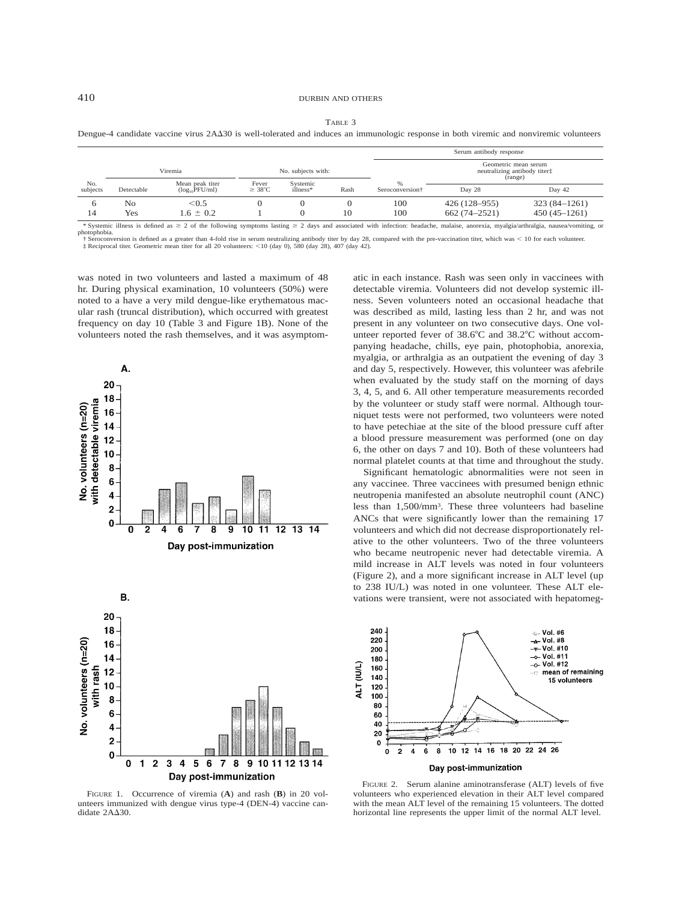|  | I |
|--|---|
|--|---|

Dengue-4 candidate vaccine virus 2AA30 is well-tolerated and induces an immunologic response in both viremic and nonviremic volunteers

|                 |            |                                        |                             |                        |      | Serum antibody response     |                                                                 |                |  |
|-----------------|------------|----------------------------------------|-----------------------------|------------------------|------|-----------------------------|-----------------------------------------------------------------|----------------|--|
|                 | Viremia    |                                        | No. subjects with:          |                        |      |                             | Geometric mean serum<br>neutralizing antibody titert<br>(range) |                |  |
| No.<br>subjects | Detectable | Mean peak titer<br>$(log_{10}$ PFU/ml) | Fever<br>$\geq 38^{\circ}C$ | Systemic<br>$illness*$ | Rash | Seroconversion <sup>†</sup> | Day 28                                                          | Day 42         |  |
| 6               | No         | < 0.5                                  |                             |                        |      | 100                         | $426(128 - 955)$                                                | $323(84-1261)$ |  |
| 14              | Yes        | $1.6 \pm 0.2$                          |                             |                        | 10   | 100                         | $662(74-2521)$                                                  | $450(45-1261)$ |  |

\* Systemic illness is defined as  $\geq 2$  of the following symptoms lasting  $\geq 2$  days and associated with infection: headache, malaise, anorexia, myalgia/arthralgia, nausea/vomiting, or photophobia.

† Seroconversion is defined as a greater than 4-fold rise in serum neutralizing antibody titer by day 28, compared with the pre-vaccination titer, which was < 10 for each volunteer.<br>‡ Reciprocal titer. Geometric mean titer

was noted in two volunteers and lasted a maximum of 48 hr. During physical examination, 10 volunteers (50%) were noted to a have a very mild dengue-like erythematous macular rash (truncal distribution), which occurred with greatest frequency on day 10 (Table 3 and Figure 1B). None of the volunteers noted the rash themselves, and it was asymptom-





FIGURE 1. Occurrence of viremia (**A**) and rash (**B**) in 20 volunteers immunized with dengue virus type-4 (DEN-4) vaccine candidate 2A $\Delta$ 30.

atic in each instance. Rash was seen only in vaccinees with detectable viremia. Volunteers did not develop systemic illness. Seven volunteers noted an occasional headache that was described as mild, lasting less than 2 hr, and was not present in any volunteer on two consecutive days. One volunteer reported fever of 38.6°C and 38.2°C without accompanying headache, chills, eye pain, photophobia, anorexia, myalgia, or arthralgia as an outpatient the evening of day 3 and day 5, respectively. However, this volunteer was afebrile when evaluated by the study staff on the morning of days 3, 4, 5, and 6. All other temperature measurements recorded by the volunteer or study staff were normal. Although tourniquet tests were not performed, two volunteers were noted to have petechiae at the site of the blood pressure cuff after a blood pressure measurement was performed (one on day 6, the other on days 7 and 10). Both of these volunteers had normal platelet counts at that time and throughout the study.

Significant hematologic abnormalities were not seen in any vaccinee. Three vaccinees with presumed benign ethnic neutropenia manifested an absolute neutrophil count (ANC) less than 1,500/mm3. These three volunteers had baseline ANCs that were significantly lower than the remaining 17 volunteers and which did not decrease disproportionately relative to the other volunteers. Two of the three volunteers who became neutropenic never had detectable viremia. A mild increase in ALT levels was noted in four volunteers (Figure 2), and a more significant increase in ALT level (up to 238 IU/L) was noted in one volunteer. These ALT elevations were transient, were not associated with hepatomeg-



FIGURE 2. Serum alanine aminotransferase (ALT) levels of five volunteers who experienced elevation in their ALT level compared with the mean ALT level of the remaining 15 volunteers. The dotted horizontal line represents the upper limit of the normal ALT level.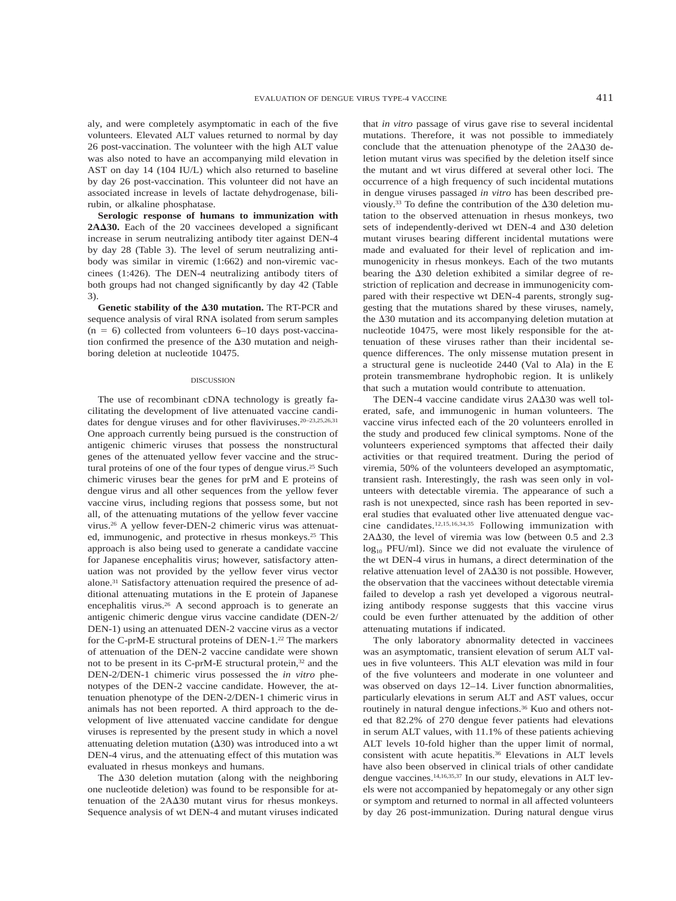aly, and were completely asymptomatic in each of the five volunteers. Elevated ALT values returned to normal by day 26 post-vaccination. The volunteer with the high ALT value was also noted to have an accompanying mild elevation in AST on day 14 (104 IU/L) which also returned to baseline by day 26 post-vaccination. This volunteer did not have an associated increase in levels of lactate dehydrogenase, bilirubin, or alkaline phosphatase.

**Serologic response of humans to immunization with 2A30.** Each of the 20 vaccinees developed a significant increase in serum neutralizing antibody titer against DEN-4 by day 28 (Table 3). The level of serum neutralizing antibody was similar in viremic (1:662) and non-viremic vaccinees (1:426). The DEN-4 neutralizing antibody titers of both groups had not changed significantly by day 42 (Table 3).

**Genetic stability of the 30 mutation.** The RT-PCR and sequence analysis of viral RNA isolated from serum samples  $(n = 6)$  collected from volunteers 6–10 days post-vaccination confirmed the presence of the  $\Delta 30$  mutation and neighboring deletion at nucleotide 10475.

#### DISCUSSION

The use of recombinant cDNA technology is greatly facilitating the development of live attenuated vaccine candidates for dengue viruses and for other flaviviruses.20–23,25,26,31 One approach currently being pursued is the construction of antigenic chimeric viruses that possess the nonstructural genes of the attenuated yellow fever vaccine and the structural proteins of one of the four types of dengue virus.25 Such chimeric viruses bear the genes for prM and E proteins of dengue virus and all other sequences from the yellow fever vaccine virus, including regions that possess some, but not all, of the attenuating mutations of the yellow fever vaccine virus.26 A yellow fever-DEN-2 chimeric virus was attenuated, immunogenic, and protective in rhesus monkeys.<sup>25</sup> This approach is also being used to generate a candidate vaccine for Japanese encephalitis virus; however, satisfactory attenuation was not provided by the yellow fever virus vector alone.31 Satisfactory attenuation required the presence of additional attenuating mutations in the E protein of Japanese encephalitis virus.<sup>26</sup> A second approach is to generate an antigenic chimeric dengue virus vaccine candidate (DEN-2/ DEN-1) using an attenuated DEN-2 vaccine virus as a vector for the C-prM-E structural proteins of DEN-1.22 The markers of attenuation of the DEN-2 vaccine candidate were shown not to be present in its C-prM-E structural protein,<sup>32</sup> and the DEN-2/DEN-1 chimeric virus possessed the *in vitro* phenotypes of the DEN-2 vaccine candidate. However, the attenuation phenotype of the DEN-2/DEN-1 chimeric virus in animals has not been reported. A third approach to the development of live attenuated vaccine candidate for dengue viruses is represented by the present study in which a novel attenuating deletion mutation  $(\Delta 30)$  was introduced into a wt DEN-4 virus, and the attenuating effect of this mutation was evaluated in rhesus monkeys and humans.

The  $\Delta 30$  deletion mutation (along with the neighboring one nucleotide deletion) was found to be responsible for attenuation of the  $2A\Delta30$  mutant virus for rhesus monkeys. Sequence analysis of wt DEN-4 and mutant viruses indicated that *in vitro* passage of virus gave rise to several incidental mutations. Therefore, it was not possible to immediately conclude that the attenuation phenotype of the  $2A\Delta 30$  deletion mutant virus was specified by the deletion itself since the mutant and wt virus differed at several other loci. The occurrence of a high frequency of such incidental mutations in dengue viruses passaged *in vitro* has been described previously.<sup>33</sup> To define the contribution of the  $\Delta 30$  deletion mutation to the observed attenuation in rhesus monkeys, two sets of independently-derived wt DEN-4 and  $\Delta 30$  deletion mutant viruses bearing different incidental mutations were made and evaluated for their level of replication and immunogenicity in rhesus monkeys. Each of the two mutants bearing the  $\Delta 30$  deletion exhibited a similar degree of restriction of replication and decrease in immunogenicity compared with their respective wt DEN-4 parents, strongly suggesting that the mutations shared by these viruses, namely, the  $\Delta$ 30 mutation and its accompanying deletion mutation at nucleotide 10475, were most likely responsible for the attenuation of these viruses rather than their incidental sequence differences. The only missense mutation present in a structural gene is nucleotide 2440 (Val to Ala) in the E protein transmembrane hydrophobic region. It is unlikely that such a mutation would contribute to attenuation.

The DEN-4 vaccine candidate virus 2A $\Delta$ 30 was well tolerated, safe, and immunogenic in human volunteers. The vaccine virus infected each of the 20 volunteers enrolled in the study and produced few clinical symptoms. None of the volunteers experienced symptoms that affected their daily activities or that required treatment. During the period of viremia, 50% of the volunteers developed an asymptomatic, transient rash. Interestingly, the rash was seen only in volunteers with detectable viremia. The appearance of such a rash is not unexpected, since rash has been reported in several studies that evaluated other live attenuated dengue vaccine candidates.12,15,16,34,35 Following immunization with  $2A\Delta 30$ , the level of viremia was low (between 0.5 and 2.3  $log_{10}$  PFU/ml). Since we did not evaluate the virulence of the wt DEN-4 virus in humans, a direct determination of the relative attenuation level of  $2A\Delta 30$  is not possible. However, the observation that the vaccinees without detectable viremia failed to develop a rash yet developed a vigorous neutralizing antibody response suggests that this vaccine virus could be even further attenuated by the addition of other attenuating mutations if indicated.

The only laboratory abnormality detected in vaccinees was an asymptomatic, transient elevation of serum ALT values in five volunteers. This ALT elevation was mild in four of the five volunteers and moderate in one volunteer and was observed on days 12–14. Liver function abnormalities, particularly elevations in serum ALT and AST values, occur routinely in natural dengue infections.<sup>36</sup> Kuo and others noted that 82.2% of 270 dengue fever patients had elevations in serum ALT values, with 11.1% of these patients achieving ALT levels 10-fold higher than the upper limit of normal, consistent with acute hepatitis.<sup>36</sup> Elevations in ALT levels have also been observed in clinical trials of other candidate dengue vaccines.14,16,35,37 In our study, elevations in ALT levels were not accompanied by hepatomegaly or any other sign or symptom and returned to normal in all affected volunteers by day 26 post-immunization. During natural dengue virus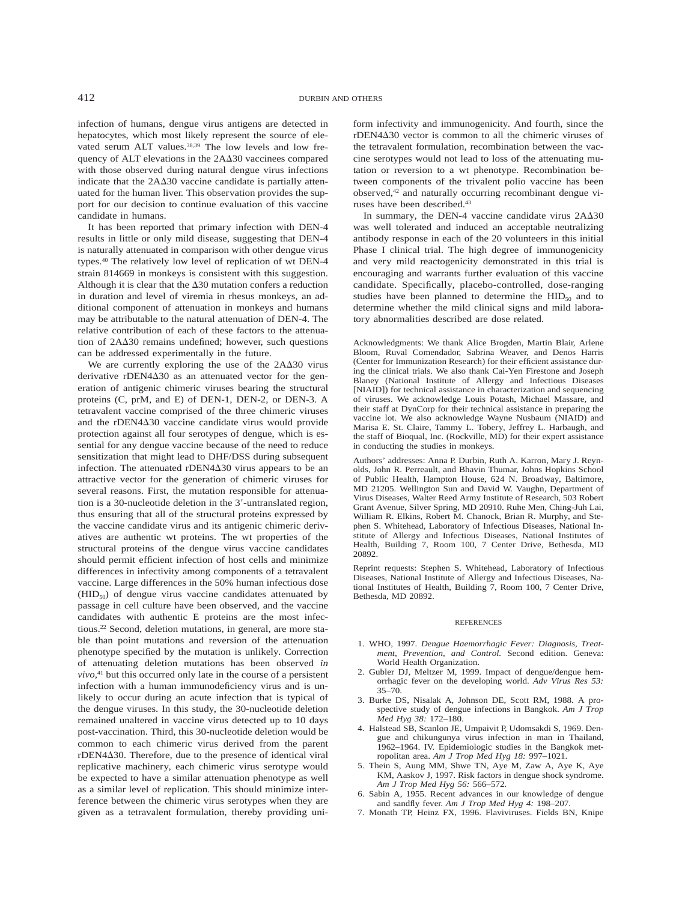infection of humans, dengue virus antigens are detected in hepatocytes, which most likely represent the source of elevated serum ALT values.<sup>38,39</sup> The low levels and low frequency of ALT elevations in the 2A $\Delta$ 30 vaccinees compared with those observed during natural dengue virus infections indicate that the  $2A\Delta 30$  vaccine candidate is partially attenuated for the human liver. This observation provides the support for our decision to continue evaluation of this vaccine candidate in humans.

It has been reported that primary infection with DEN-4 results in little or only mild disease, suggesting that DEN-4 is naturally attenuated in comparison with other dengue virus types.40 The relatively low level of replication of wt DEN-4 strain 814669 in monkeys is consistent with this suggestion. Although it is clear that the  $\Delta 30$  mutation confers a reduction in duration and level of viremia in rhesus monkeys, an additional component of attenuation in monkeys and humans may be attributable to the natural attenuation of DEN-4. The relative contribution of each of these factors to the attenuation of 2A $\Delta$ 30 remains undefined; however, such questions can be addressed experimentally in the future.

We are currently exploring the use of the  $2A\Delta 30$  virus derivative rDEN4 $\Delta$ 30 as an attenuated vector for the generation of antigenic chimeric viruses bearing the structural proteins (C, prM, and E) of DEN-1, DEN-2, or DEN-3. A tetravalent vaccine comprised of the three chimeric viruses and the  $r$ DEN4 $\Delta$ 30 vaccine candidate virus would provide protection against all four serotypes of dengue, which is essential for any dengue vaccine because of the need to reduce sensitization that might lead to DHF/DSS during subsequent infection. The attenuated  $r$ DEN4 $\Delta$ 30 virus appears to be an attractive vector for the generation of chimeric viruses for several reasons. First, the mutation responsible for attenuation is a 30-nucleotide deletion in the 3'-untranslated region, thus ensuring that all of the structural proteins expressed by the vaccine candidate virus and its antigenic chimeric derivatives are authentic wt proteins. The wt properties of the structural proteins of the dengue virus vaccine candidates should permit efficient infection of host cells and minimize differences in infectivity among components of a tetravalent vaccine. Large differences in the 50% human infectious dose  $(HID<sub>50</sub>)$  of dengue virus vaccine candidates attenuated by passage in cell culture have been observed, and the vaccine candidates with authentic E proteins are the most infectious.22 Second, deletion mutations, in general, are more stable than point mutations and reversion of the attenuation phenotype specified by the mutation is unlikely. Correction of attenuating deletion mutations has been observed *in vivo,*<sup>41</sup> but this occurred only late in the course of a persistent infection with a human immunodeficiency virus and is unlikely to occur during an acute infection that is typical of the dengue viruses. In this study, the 30-nucleotide deletion remained unaltered in vaccine virus detected up to 10 days post-vaccination. Third, this 30-nucleotide deletion would be common to each chimeric virus derived from the parent rDEN4 $\Delta$ 30. Therefore, due to the presence of identical viral replicative machinery, each chimeric virus serotype would be expected to have a similar attenuation phenotype as well as a similar level of replication. This should minimize interference between the chimeric virus serotypes when they are given as a tetravalent formulation, thereby providing uniform infectivity and immunogenicity. And fourth, since the rDEN4 $\Delta$ 30 vector is common to all the chimeric viruses of the tetravalent formulation, recombination between the vaccine serotypes would not lead to loss of the attenuating mutation or reversion to a wt phenotype. Recombination between components of the trivalent polio vaccine has been observed,42 and naturally occurring recombinant dengue viruses have been described.<sup>43</sup>

In summary, the DEN-4 vaccine candidate virus  $2A\Delta 30$ was well tolerated and induced an acceptable neutralizing antibody response in each of the 20 volunteers in this initial Phase I clinical trial. The high degree of immunogenicity and very mild reactogenicity demonstrated in this trial is encouraging and warrants further evaluation of this vaccine candidate. Specifically, placebo-controlled, dose-ranging studies have been planned to determine the  $HID_{50}$  and to determine whether the mild clinical signs and mild laboratory abnormalities described are dose related.

Acknowledgments: We thank Alice Brogden, Martin Blair, Arlene Bloom, Ruval Comendador, Sabrina Weaver, and Denos Harris (Center for Immunization Research) for their efficient assistance during the clinical trials. We also thank Cai-Yen Firestone and Joseph Blaney (National Institute of Allergy and Infectious Diseases [NIAID]) for technical assistance in characterization and sequencing of viruses. We acknowledge Louis Potash, Michael Massare, and their staff at DynCorp for their technical assistance in preparing the vaccine lot. We also acknowledge Wayne Nusbaum (NIAID) and Marisa E. St. Claire, Tammy L. Tobery, Jeffrey L. Harbaugh, and the staff of Bioqual, Inc. (Rockville, MD) for their expert assistance in conducting the studies in monkeys.

Authors' addresses: Anna P. Durbin, Ruth A. Karron, Mary J. Reynolds, John R. Perreault, and Bhavin Thumar, Johns Hopkins School of Public Health, Hampton House, 624 N. Broadway, Baltimore, MD 21205. Wellington Sun and David W. Vaughn, Department of Virus Diseases, Walter Reed Army Institute of Research, 503 Robert Grant Avenue, Silver Spring, MD 20910. Ruhe Men, Ching-Juh Lai, William R. Elkins, Robert M. Chanock, Brian R. Murphy, and Stephen S. Whitehead, Laboratory of Infectious Diseases, National Institute of Allergy and Infectious Diseases, National Institutes of Health, Building 7, Room 100, 7 Center Drive, Bethesda, MD 20892.

Reprint requests: Stephen S. Whitehead, Laboratory of Infectious Diseases, National Institute of Allergy and Infectious Diseases, National Institutes of Health, Building 7, Room 100, 7 Center Drive, Bethesda, MD 20892.

#### **REFERENCES**

- 1. WHO, 1997. *Dengue Haemorrhagic Fever: Diagnosis, Treatment, Prevention, and Control.* Second edition. Geneva: World Health Organization.
- 2. Gubler DJ, Meltzer M, 1999. Impact of dengue/dengue hemorrhagic fever on the developing world. *Adv Virus Res 53:* 35–70.
- 3. Burke DS, Nisalak A, Johnson DE, Scott RM, 1988. A prospective study of dengue infections in Bangkok. *Am J Trop Med Hyg 38:* 172–180.
- 4. Halstead SB, Scanlon JE, Umpaivit P, Udomsakdi S, 1969. Dengue and chikungunya virus infection in man in Thailand, 1962–1964. IV. Epidemiologic studies in the Bangkok metropolitan area. *Am J Trop Med Hyg 18:* 997–1021.
- 5. Thein S, Aung MM, Shwe TN, Aye M, Zaw A, Aye K, Aye KM, Aaskov J, 1997. Risk factors in dengue shock syndrome. *Am J Trop Med Hyg 56:* 566–572.
- 6. Sabin A, 1955. Recent advances in our knowledge of dengue and sandfly fever. *Am J Trop Med Hyg 4:* 198–207.
- 7. Monath TP, Heinz FX, 1996. Flaviviruses. Fields BN, Knipe